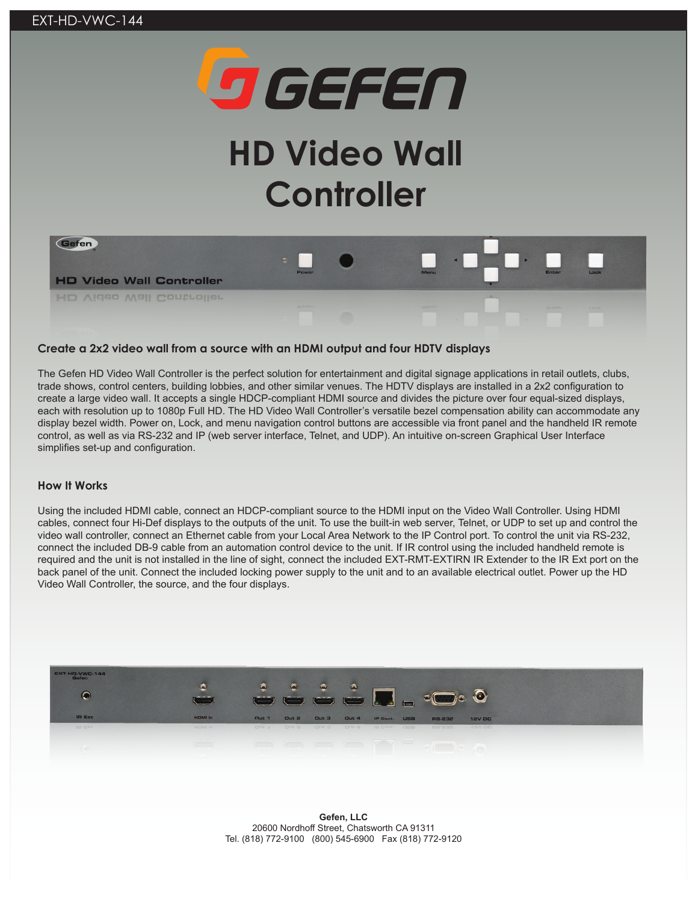

# **HD Video Wall Controller**



### **Create a 2x2 video wall from a source with an HDMI output and four HDTV displays**

The Gefen HD Video Wall Controller is the perfect solution for entertainment and digital signage applications in retail outlets, clubs, trade shows, control centers, building lobbies, and other similar venues. The HDTV displays are installed in a 2x2 configuration to create a large video wall. It accepts a single HDCP-compliant HDMI source and divides the picture over four equal-sized displays, each with resolution up to 1080p Full HD. The HD Video Wall Controller's versatile bezel compensation ability can accommodate any display bezel width. Power on, Lock, and menu navigation control buttons are accessible via front panel and the handheld IR remote control, as well as via RS-232 and IP (web server interface, Telnet, and UDP). An intuitive on-screen Graphical User Interface simplifies set-up and configuration.

#### **How It Works**

Using the included HDMI cable, connect an HDCP-compliant source to the HDMI input on the Video Wall Controller. Using HDMI cables, connect four Hi-Def displays to the outputs of the unit. To use the built-in web server, Telnet, or UDP to set up and control the video wall controller, connect an Ethernet cable from your Local Area Network to the IP Control port. To control the unit via RS-232, connect the included DB-9 cable from an automation control device to the unit. If IR control using the included handheld remote is required and the unit is not installed in the line of sight, connect the included EXT-RMT-EXTIRN IR Extender to the IR Ext port on the back panel of the unit. Connect the included locking power supply to the unit and to an available electrical outlet. Power up the HD Video Wall Controller, the source, and the four displays.



**Gefen, LLC** 20600 Nordhoff Street, Chatsworth CA 91311 Tel. (818) 772-9100 (800) 545-6900 Fax (818) 772-9120